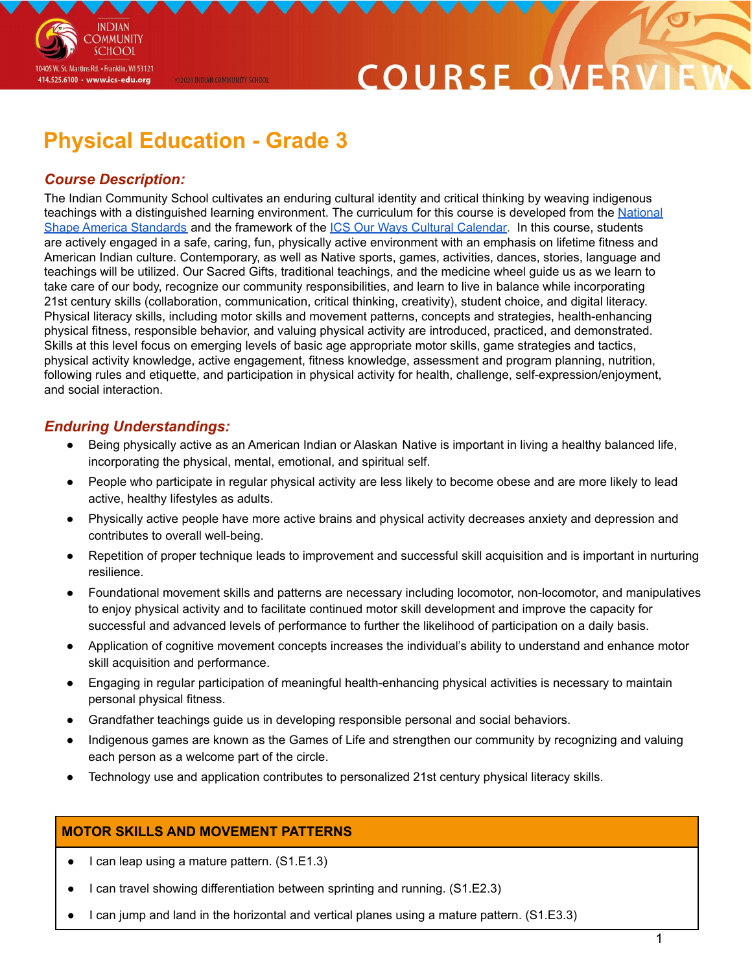# COURSE O

# **Physical Education - Grade 3**

@2020 INDIAN COMMUNITY SCHOOL

## *Course Description:*

**INDIAN OMMUNITY SCHOOL** 

10405 W. St. Martins Rd. • Franklin, WI 53121 414.525.6100 · www.ics-edu.org

The Indian Community School cultivates an enduring cultural identity and critical thinking by weaving indigenous teachings with a distinguished learning environment. The curriculum for this course is developed from the [National](https://www.shapeamerica.org/uploads/pdfs/2017/Grade-Level-Outcomes-for-K-12-Physical-Education.pdf) Shape America [Standards](https://www.shapeamerica.org/uploads/pdfs/2017/Grade-Level-Outcomes-for-K-12-Physical-Education.pdf) and the framework of the ICS Our Ways Cultural [Calendar.](https://drive.google.com/open?id=0B7pONXiRIufTT3VHOXBBeG9USHMzbDNIUi1nV0NTbURCMFRZ) In this course, students are actively engaged in a safe, caring, fun, physically active environment with an emphasis on lifetime fitness and American Indian culture. Contemporary, as well as Native sports, games, activities, dances, stories, language and teachings will be utilized. Our Sacred Gifts, traditional teachings, and the medicine wheel guide us as we learn to take care of our body, recognize our community responsibilities, and learn to live in balance while incorporating 21st century skills (collaboration, communication, critical thinking, creativity), student choice, and digital literacy. Physical literacy skills, including motor skills and movement patterns, concepts and strategies, health-enhancing physical fitness, responsible behavior, and valuing physical activity are introduced, practiced, and demonstrated. Skills at this level focus on emerging levels of basic age appropriate motor skills, game strategies and tactics, physical activity knowledge, active engagement, fitness knowledge, assessment and program planning, nutrition, following rules and etiquette, and participation in physical activity for health, challenge, self-expression/enjoyment, and social interaction.

### *Enduring Understandings:*

- Being physically active as an American Indian or Alaskan Native is important in living a healthy balanced life, incorporating the physical, mental, emotional, and spiritual self.
- People who participate in regular physical activity are less likely to become obese and are more likely to lead active, healthy lifestyles as adults.
- Physically active people have more active brains and physical activity decreases anxiety and depression and contributes to overall well-being.
- Repetition of proper technique leads to improvement and successful skill acquisition and is important in nurturing resilience.
- Foundational movement skills and patterns are necessary including locomotor, non-locomotor, and manipulatives to enjoy physical activity and to facilitate continued motor skill development and improve the capacity for successful and advanced levels of performance to further the likelihood of participation on a daily basis.
- Application of cognitive movement concepts increases the individual's ability to understand and enhance motor skill acquisition and performance.
- Engaging in regular participation of meaningful health-enhancing physical activities is necessary to maintain personal physical fitness.
- Grandfather teachings guide us in developing responsible personal and social behaviors.
- Indigenous games are known as the Games of Life and strengthen our community by recognizing and valuing each person as a welcome part of the circle.
- Technology use and application contributes to personalized 21st century physical literacy skills.

### **MOTOR SKILLS AND MOVEMENT PATTERNS**

- I can leap using a mature pattern. (S1.E1.3)
- I can travel showing differentiation between sprinting and running. (S1.E2.3)
- I can jump and land in the horizontal and vertical planes using a mature pattern. (S1.E3.3)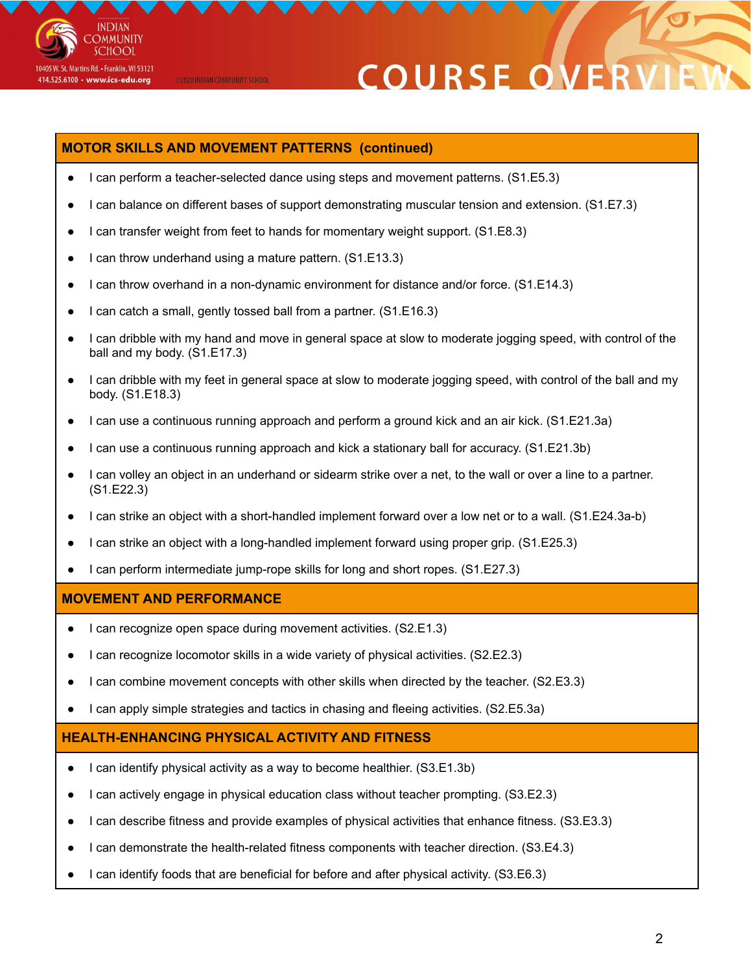

# **COURSE ON**

#### **MOTOR SKILLS AND MOVEMENT PATTERNS (continued)**

@2020 INDIAN COMMUNITY SCHOOL

- I can perform a teacher-selected dance using steps and movement patterns. (S1.E5.3)
- I can balance on different bases of support demonstrating muscular tension and extension. (S1.E7.3)
- I can transfer weight from feet to hands for momentary weight support. (S1.E8.3)
- I can throw underhand using a mature pattern. (S1.E13.3)
- I can throw overhand in a non-dynamic environment for distance and/or force. (S1.E14.3)
- I can catch a small, gently tossed ball from a partner. (S1.E16.3)
- I can dribble with my hand and move in general space at slow to moderate jogging speed, with control of the ball and my body. (S1.E17.3)
- I can dribble with my feet in general space at slow to moderate jogging speed, with control of the ball and my body. (S1.E18.3)
- I can use a continuous running approach and perform a ground kick and an air kick. (S1.E21.3a)
- I can use a continuous running approach and kick a stationary ball for accuracy. (S1.E21.3b)
- I can volley an object in an underhand or sidearm strike over a net, to the wall or over a line to a partner. (S1.E22.3)
- I can strike an object with a short-handled implement forward over a low net or to a wall. (S1.E24.3a-b)
- I can strike an object with a long-handled implement forward using proper grip. (S1.E25.3)
- I can perform intermediate jump-rope skills for long and short ropes. (S1.E27.3)

#### **MOVEMENT AND PERFORMANCE**

- I can recognize open space during movement activities. (S2.E1.3)
- I can recognize locomotor skills in a wide variety of physical activities. (S2.E2.3)
- I can combine movement concepts with other skills when directed by the teacher. (S2.E3.3)
- I can apply simple strategies and tactics in chasing and fleeing activities. (S2.E5.3a)

#### **HEALTH-ENHANCING PHYSICAL ACTIVITY AND FITNESS**

- I can identify physical activity as a way to become healthier. (S3.E1.3b)
- I can actively engage in physical education class without teacher prompting. (S3.E2.3)
- I can describe fitness and provide examples of physical activities that enhance fitness. (S3.E3.3)
- I can demonstrate the health-related fitness components with teacher direction. (S3.E4.3)
- I can identify foods that are beneficial for before and after physical activity. (S3.E6.3)